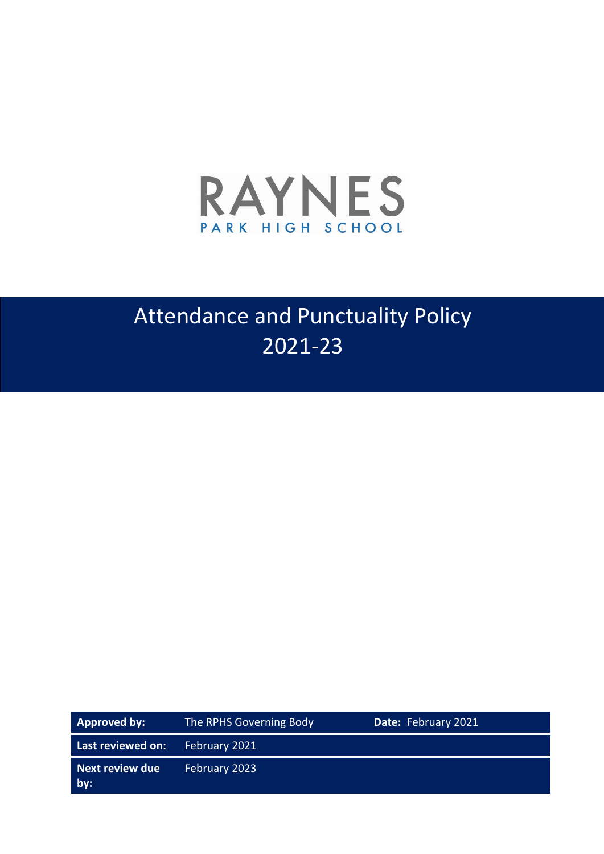

# Attendance and Punctuality Policy 2021-23

| Approved by:           | The RPHS Governing Body | Date: February 2021 |
|------------------------|-------------------------|---------------------|
| Last reviewed on:      | February 2021           |                     |
| Next review due<br>by: | February 2023           |                     |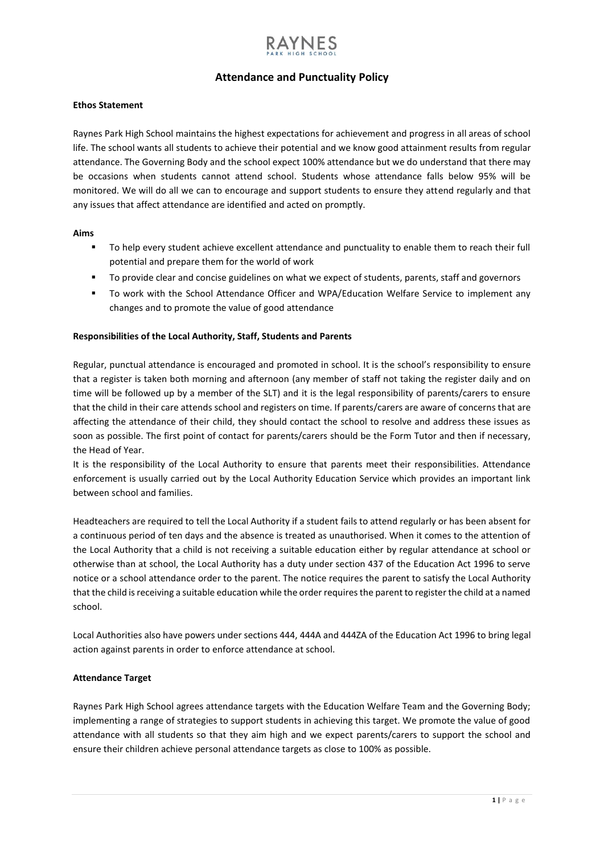## **Attendance and Punctuality Policy**

### **Ethos Statement**

Raynes Park High School maintains the highest expectations for achievement and progress in all areas of school life. The school wants all students to achieve their potential and we know good attainment results from regular attendance. The Governing Body and the school expect 100% attendance but we do understand that there may be occasions when students cannot attend school. Students whose attendance falls below 95% will be monitored. We will do all we can to encourage and support students to ensure they attend regularly and that any issues that affect attendance are identified and acted on promptly.

### **Aims**

- To help every student achieve excellent attendance and punctuality to enable them to reach their full potential and prepare them for the world of work
- To provide clear and concise guidelines on what we expect of students, parents, staff and governors
- To work with the School Attendance Officer and WPA/Education Welfare Service to implement any changes and to promote the value of good attendance

## **Responsibilities of the Local Authority, Staff, Students and Parents**

Regular, punctual attendance is encouraged and promoted in school. It is the school's responsibility to ensure that a register is taken both morning and afternoon (any member of staff not taking the register daily and on time will be followed up by a member of the SLT) and it is the legal responsibility of parents/carers to ensure that the child in their care attends school and registers on time. If parents/carers are aware of concerns that are affecting the attendance of their child, they should contact the school to resolve and address these issues as soon as possible. The first point of contact for parents/carers should be the Form Tutor and then if necessary, the Head of Year.

It is the responsibility of the Local Authority to ensure that parents meet their responsibilities. Attendance enforcement is usually carried out by the Local Authority Education Service which provides an important link between school and families.

Headteachers are required to tell the Local Authority if a student fails to attend regularly or has been absent for a continuous period of ten days and the absence is treated as unauthorised. When it comes to the attention of the Local Authority that a child is not receiving a suitable education either by regular attendance at school or otherwise than at school, the Local Authority has a duty under section 437 of the Education Act 1996 to serve notice or a school attendance order to the parent. The notice requires the parent to satisfy the Local Authority that the child is receiving a suitable education while the order requires the parent to register the child at a named school.

Local Authorities also have powers under sections 444, 444A and 444ZA of the Education Act 1996 to bring legal action against parents in order to enforce attendance at school.

## **Attendance Target**

Raynes Park High School agrees attendance targets with the Education Welfare Team and the Governing Body; implementing a range of strategies to support students in achieving this target. We promote the value of good attendance with all students so that they aim high and we expect parents/carers to support the school and ensure their children achieve personal attendance targets as close to 100% as possible.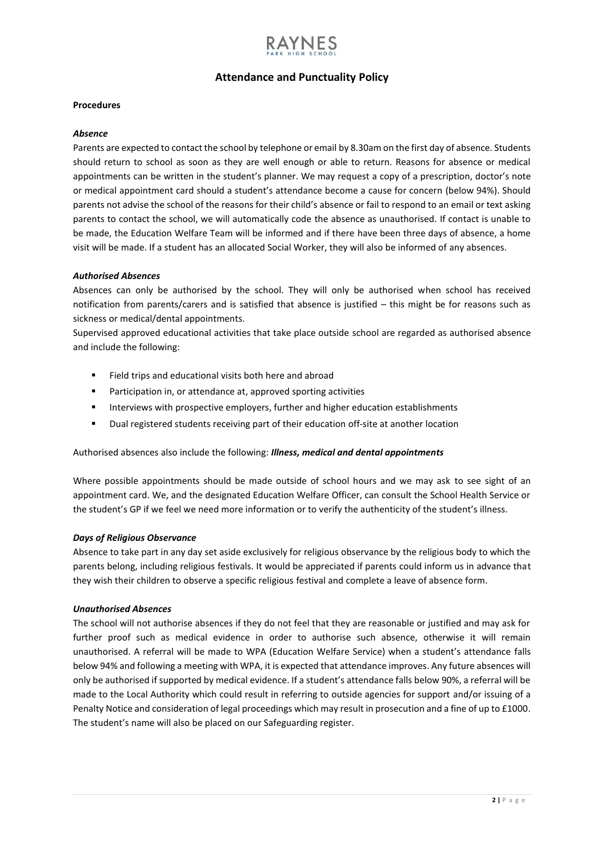## **Attendance and Punctuality Policy**

#### **Procedures**

#### *Absence*

Parents are expected to contact the school by telephone or email by 8.30am on the first day of absence. Students should return to school as soon as they are well enough or able to return. Reasons for absence or medical appointments can be written in the student's planner. We may request a copy of a prescription, doctor's note or medical appointment card should a student's attendance become a cause for concern (below 94%). Should parents not advise the school of the reasons for their child's absence or fail to respond to an email or text asking parents to contact the school, we will automatically code the absence as unauthorised. If contact is unable to be made, the Education Welfare Team will be informed and if there have been three days of absence, a home visit will be made. If a student has an allocated Social Worker, they will also be informed of any absences.

### *Authorised Absences*

Absences can only be authorised by the school. They will only be authorised when school has received notification from parents/carers and is satisfied that absence is justified – this might be for reasons such as sickness or medical/dental appointments.

Supervised approved educational activities that take place outside school are regarded as authorised absence and include the following:

- Field trips and educational visits both here and abroad
- Participation in, or attendance at, approved sporting activities
- Interviews with prospective employers, further and higher education establishments
- Dual registered students receiving part of their education off-site at another location

## Authorised absences also include the following: *Illness, medical and dental appointments*

Where possible appointments should be made outside of school hours and we may ask to see sight of an appointment card. We, and the designated Education Welfare Officer, can consult the School Health Service or the student's GP if we feel we need more information or to verify the authenticity of the student's illness.

#### *Days of Religious Observance*

Absence to take part in any day set aside exclusively for religious observance by the religious body to which the parents belong, including religious festivals. It would be appreciated if parents could inform us in advance that they wish their children to observe a specific religious festival and complete a leave of absence form.

#### *Unauthorised Absences*

The school will not authorise absences if they do not feel that they are reasonable or justified and may ask for further proof such as medical evidence in order to authorise such absence, otherwise it will remain unauthorised. A referral will be made to WPA (Education Welfare Service) when a student's attendance falls below 94% and following a meeting with WPA, it is expected that attendance improves. Any future absences will only be authorised if supported by medical evidence. If a student's attendance falls below 90%, a referral will be made to the Local Authority which could result in referring to outside agencies for support and/or issuing of a Penalty Notice and consideration of legal proceedings which may result in prosecution and a fine of up to £1000. The student's name will also be placed on our Safeguarding register.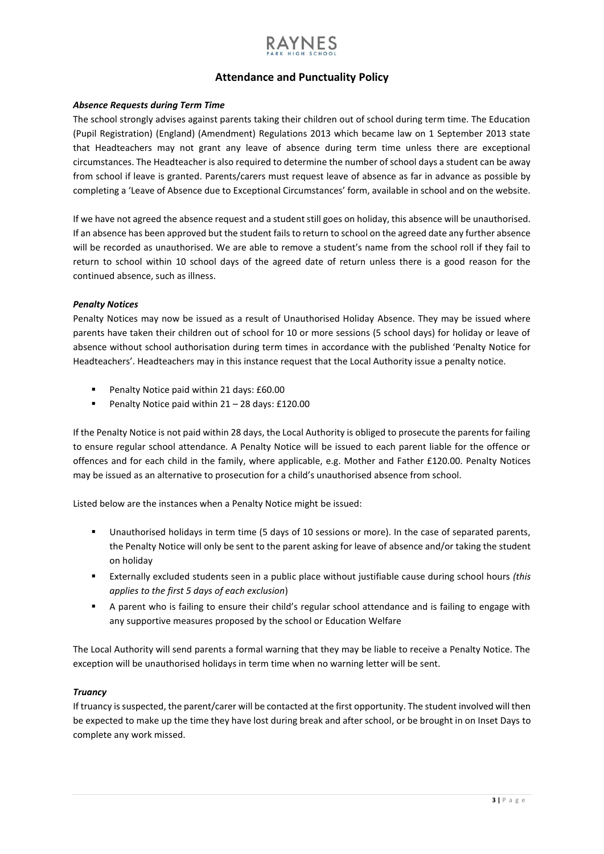## **Attendance and Punctuality Policy**

## *Absence Requests during Term Time*

The school strongly advises against parents taking their children out of school during term time. The Education (Pupil Registration) (England) (Amendment) Regulations 2013 which became law on 1 September 2013 state that Headteachers may not grant any leave of absence during term time unless there are exceptional circumstances. The Headteacher is also required to determine the number of school days a student can be away from school if leave is granted. Parents/carers must request leave of absence as far in advance as possible by completing a 'Leave of Absence due to Exceptional Circumstances' form, available in school and on the website.

If we have not agreed the absence request and a student still goes on holiday, this absence will be unauthorised. If an absence has been approved but the student fails to return to school on the agreed date any further absence will be recorded as unauthorised. We are able to remove a student's name from the school roll if they fail to return to school within 10 school days of the agreed date of return unless there is a good reason for the continued absence, such as illness.

## *Penalty Notices*

Penalty Notices may now be issued as a result of Unauthorised Holiday Absence. They may be issued where parents have taken their children out of school for 10 or more sessions (5 school days) for holiday or leave of absence without school authorisation during term times in accordance with the published 'Penalty Notice for Headteachers'. Headteachers may in this instance request that the Local Authority issue a penalty notice.

- Penalty Notice paid within 21 days: £60.00
- Penalty Notice paid within 21 28 days: £120.00

If the Penalty Notice is not paid within 28 days, the Local Authority is obliged to prosecute the parents for failing to ensure regular school attendance. A Penalty Notice will be issued to each parent liable for the offence or offences and for each child in the family, where applicable, e.g. Mother and Father £120.00. Penalty Notices may be issued as an alternative to prosecution for a child's unauthorised absence from school.

Listed below are the instances when a Penalty Notice might be issued:

- Unauthorised holidays in term time (5 days of 10 sessions or more). In the case of separated parents, the Penalty Notice will only be sent to the parent asking for leave of absence and/or taking the student on holiday
- Externally excluded students seen in a public place without justifiable cause during school hours *(this applies to the first 5 days of each exclusion*)
- A parent who is failing to ensure their child's regular school attendance and is failing to engage with any supportive measures proposed by the school or Education Welfare

The Local Authority will send parents a formal warning that they may be liable to receive a Penalty Notice. The exception will be unauthorised holidays in term time when no warning letter will be sent.

## *Truancy*

If truancy is suspected, the parent/carer will be contacted at the first opportunity. The student involved will then be expected to make up the time they have lost during break and after school, or be brought in on Inset Days to complete any work missed.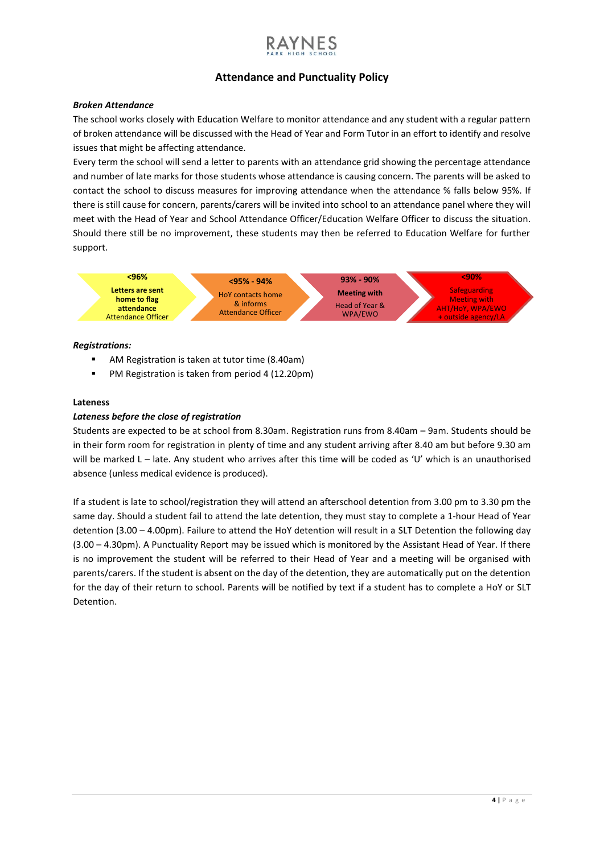## **Attendance and Punctuality Policy**

### *Broken Attendance*

The school works closely with Education Welfare to monitor attendance and any student with a regular pattern of broken attendance will be discussed with the Head of Year and Form Tutor in an effort to identify and resolve issues that might be affecting attendance.

Every term the school will send a letter to parents with an attendance grid showing the percentage attendance and number of late marks for those students whose attendance is causing concern. The parents will be asked to contact the school to discuss measures for improving attendance when the attendance % falls below 95%. If there is still cause for concern, parents/carers will be invited into school to an attendance panel where they will meet with the Head of Year and School Attendance Officer/Education Welfare Officer to discuss the situation. Should there still be no improvement, these students may then be referred to Education Welfare for further support.



### *Registrations:*

- AM Registration is taken at tutor time (8.40am)
- PM Registration is taken from period 4 (12.20pm)

#### **Lateness**

## *Lateness before the close of registration*

Students are expected to be at school from 8.30am. Registration runs from 8.40am – 9am. Students should be in their form room for registration in plenty of time and any student arriving after 8.40 am but before 9.30 am will be marked L – late. Any student who arrives after this time will be coded as 'U' which is an unauthorised absence (unless medical evidence is produced).

If a student is late to school/registration they will attend an afterschool detention from 3.00 pm to 3.30 pm the same day. Should a student fail to attend the late detention, they must stay to complete a 1-hour Head of Year detention (3.00 – 4.00pm). Failure to attend the HoY detention will result in a SLT Detention the following day (3.00 – 4.30pm). A Punctuality Report may be issued which is monitored by the Assistant Head of Year. If there is no improvement the student will be referred to their Head of Year and a meeting will be organised with parents/carers. If the student is absent on the day of the detention, they are automatically put on the detention for the day of their return to school. Parents will be notified by text if a student has to complete a HoY or SLT Detention.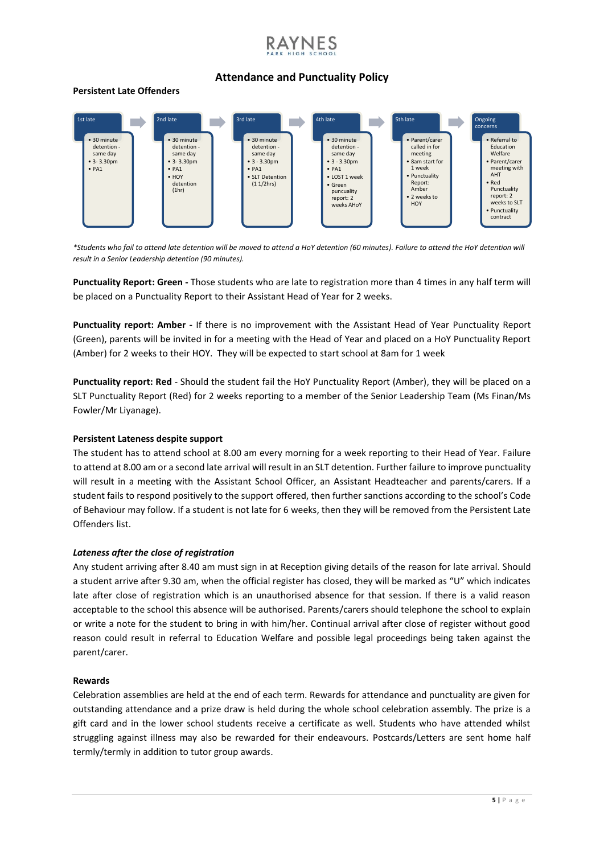## **Attendance and Punctuality Policy**

## **Persistent Late Offenders**



*\*Students who fail to attend late detention will be moved to attend a HoY detention (60 minutes). Failure to attend the HoY detention will result in a Senior Leadership detention (90 minutes).* 

**Punctuality Report: Green -** Those students who are late to registration more than 4 times in any half term will be placed on a Punctuality Report to their Assistant Head of Year for 2 weeks.

**Punctuality report: Amber -** If there is no improvement with the Assistant Head of Year Punctuality Report (Green), parents will be invited in for a meeting with the Head of Year and placed on a HoY Punctuality Report (Amber) for 2 weeks to their HOY. They will be expected to start school at 8am for 1 week

**Punctuality report: Red** - Should the student fail the HoY Punctuality Report (Amber), they will be placed on a SLT Punctuality Report (Red) for 2 weeks reporting to a member of the Senior Leadership Team (Ms Finan/Ms Fowler/Mr Liyanage).

## **Persistent Lateness despite support**

The student has to attend school at 8.00 am every morning for a week reporting to their Head of Year. Failure to attend at 8.00 am or a second late arrival will result in an SLT detention. Further failure to improve punctuality will result in a meeting with the Assistant School Officer, an Assistant Headteacher and parents/carers. If a student fails to respond positively to the support offered, then further sanctions according to the school's Code of Behaviour may follow. If a student is not late for 6 weeks, then they will be removed from the Persistent Late Offenders list.

## *Lateness after the close of registration*

Any student arriving after 8.40 am must sign in at Reception giving details of the reason for late arrival. Should a student arrive after 9.30 am, when the official register has closed, they will be marked as "U" which indicates late after close of registration which is an unauthorised absence for that session. If there is a valid reason acceptable to the school this absence will be authorised. Parents/carers should telephone the school to explain or write a note for the student to bring in with him/her. Continual arrival after close of register without good reason could result in referral to Education Welfare and possible legal proceedings being taken against the parent/carer.

## **Rewards**

Celebration assemblies are held at the end of each term. Rewards for attendance and punctuality are given for outstanding attendance and a prize draw is held during the whole school celebration assembly. The prize is a gift card and in the lower school students receive a certificate as well. Students who have attended whilst struggling against illness may also be rewarded for their endeavours. Postcards/Letters are sent home half termly/termly in addition to tutor group awards.